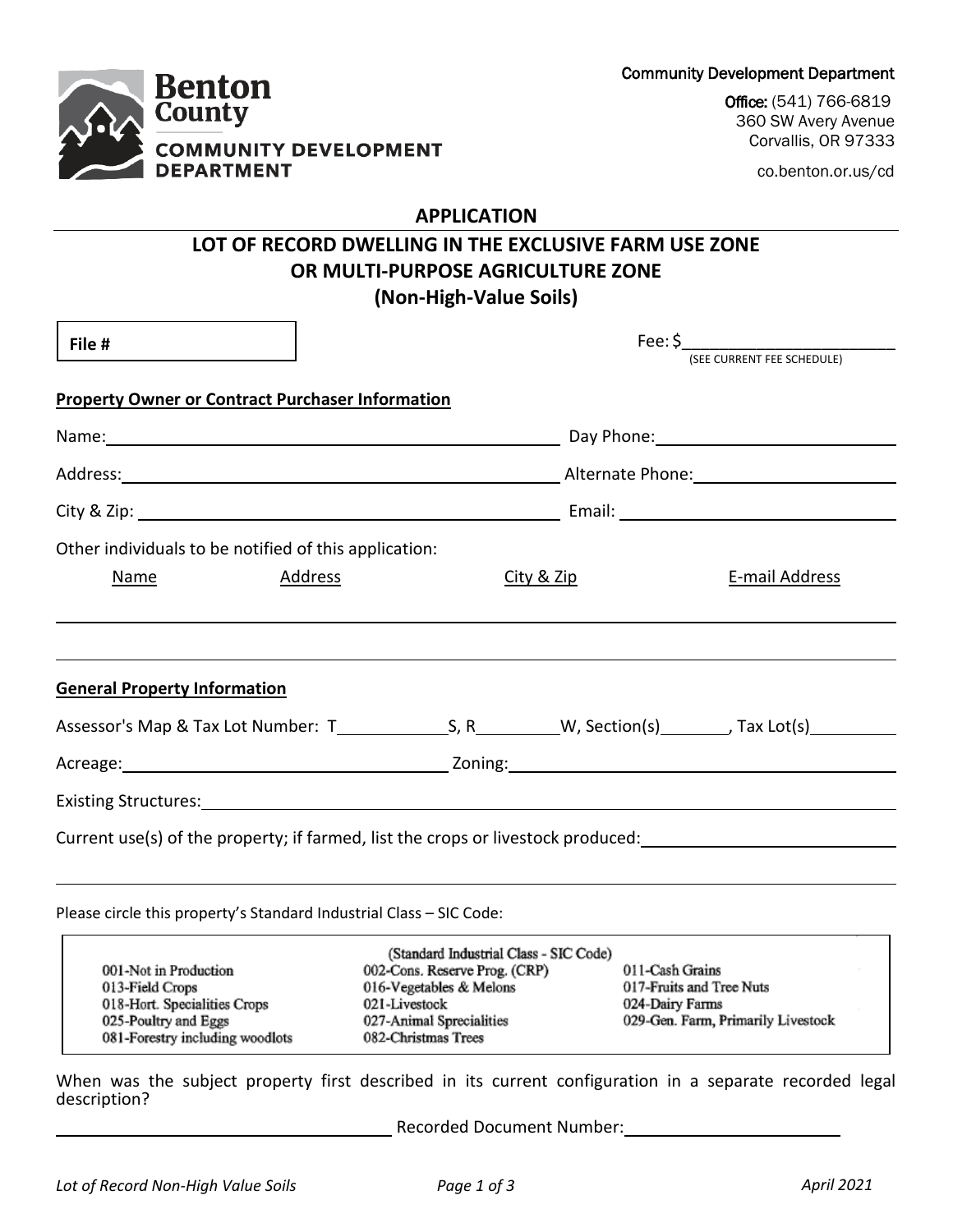Community Development Department

Office: (541) 766-6819 360 SW Avery Avenue Corvallis, OR 97333

co.benton.or.us/cd

## **Benton County COMMUNITY DEVELOPMENT DEPARTMENT**

### **APPLICATION**

# **LOT OF RECORD DWELLING IN THE EXCLUSIVE FARM USE ZONE OR MULTI-PURPOSE AGRICULTURE ZONE**

### **(Non-High-Value Soils)**

|                                                                                                                                                                                                                               |                                                                                  | Fee: \$<br>(SEE CURRENT FEE SCHEDULE)                                                                                                           |                                                                                                                 |                                                                |  |
|-------------------------------------------------------------------------------------------------------------------------------------------------------------------------------------------------------------------------------|----------------------------------------------------------------------------------|-------------------------------------------------------------------------------------------------------------------------------------------------|-----------------------------------------------------------------------------------------------------------------|----------------------------------------------------------------|--|
| File #                                                                                                                                                                                                                        |                                                                                  |                                                                                                                                                 |                                                                                                                 |                                                                |  |
|                                                                                                                                                                                                                               | <b>Property Owner or Contract Purchaser Information</b>                          |                                                                                                                                                 |                                                                                                                 |                                                                |  |
| Name: Name: Name: Name: Name: Name: Name: Name: Name: Name: Name: Name: Name: Name: Name: Name: Name: Name: Name: Name: Name: Name: Name: Name: Name: Name: Name: Name: Name: Name: Name: Name: Name: Name: Name: Name: Name: |                                                                                  |                                                                                                                                                 |                                                                                                                 |                                                                |  |
|                                                                                                                                                                                                                               |                                                                                  |                                                                                                                                                 |                                                                                                                 |                                                                |  |
|                                                                                                                                                                                                                               |                                                                                  |                                                                                                                                                 | City & Zip: 1998 City & Zip: 1998 City & Zip: 1999 City & Zip: 1999 City & Zip: 1999 City & Zip: 1999 City & Zi |                                                                |  |
|                                                                                                                                                                                                                               | Other individuals to be notified of this application:                            |                                                                                                                                                 |                                                                                                                 |                                                                |  |
| Name                                                                                                                                                                                                                          | Address                                                                          |                                                                                                                                                 | City & Zip                                                                                                      | E-mail Address                                                 |  |
|                                                                                                                                                                                                                               |                                                                                  |                                                                                                                                                 |                                                                                                                 |                                                                |  |
|                                                                                                                                                                                                                               |                                                                                  |                                                                                                                                                 |                                                                                                                 |                                                                |  |
| <b>General Property Information</b>                                                                                                                                                                                           |                                                                                  |                                                                                                                                                 |                                                                                                                 |                                                                |  |
|                                                                                                                                                                                                                               |                                                                                  |                                                                                                                                                 |                                                                                                                 |                                                                |  |
|                                                                                                                                                                                                                               |                                                                                  |                                                                                                                                                 |                                                                                                                 |                                                                |  |
|                                                                                                                                                                                                                               |                                                                                  |                                                                                                                                                 |                                                                                                                 |                                                                |  |
|                                                                                                                                                                                                                               | Current use(s) of the property; if farmed, list the crops or livestock produced: |                                                                                                                                                 |                                                                                                                 |                                                                |  |
|                                                                                                                                                                                                                               |                                                                                  |                                                                                                                                                 |                                                                                                                 |                                                                |  |
|                                                                                                                                                                                                                               | Please circle this property's Standard Industrial Class - SIC Code:              |                                                                                                                                                 |                                                                                                                 |                                                                |  |
| 001-Not in Production<br>013-Field Crops<br>018-Hort. Specialities Crops<br>025-Poultry and Eggs                                                                                                                              |                                                                                  | (Standard Industrial Class - SIC Code)<br>002-Cons. Reserve Prog. (CRP)<br>016-Vegetables & Melons<br>021-Livestock<br>027-Animal Sprecialities | 011-Cash Grains<br>024-Dairy Farms                                                                              | 017-Fruits and Tree Nuts<br>029-Gen. Farm, Primarily Livestock |  |

When was the subject property first described in its current configuration in a separate recorded legal description?

082-Christmas Trees

Recorded Document Number:

081-Forestry including woodlots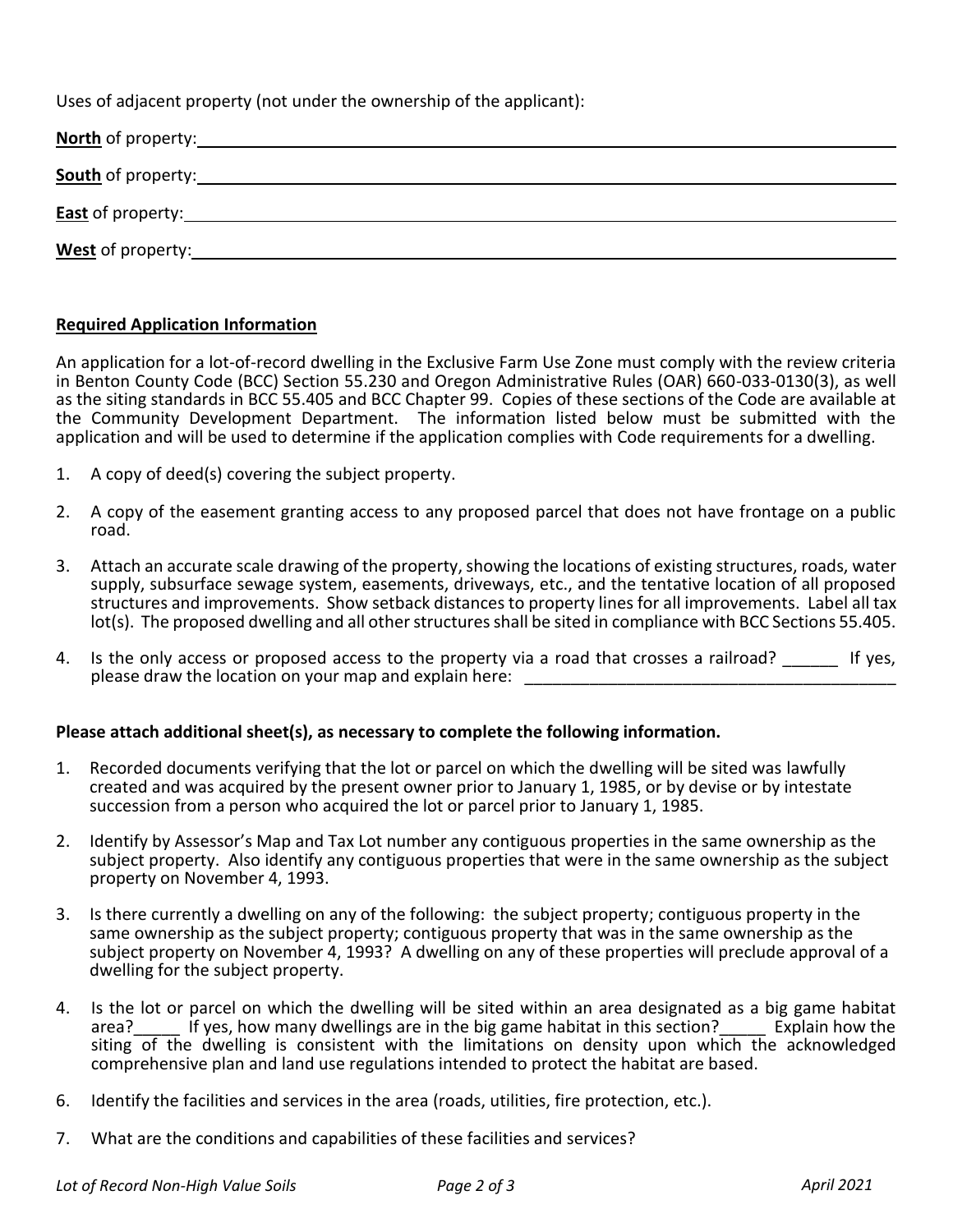Uses of adjacent property (not under the ownership of the applicant):

| West of property: West of property: |  |  |
|-------------------------------------|--|--|

#### **Required Application Information**

An application for a lot-of-record dwelling in the Exclusive Farm Use Zone must comply with the review criteria in Benton County Code (BCC) Section 55.230 and Oregon Administrative Rules (OAR) 660-033-0130(3), as well as the siting standards in BCC 55.405 and BCC Chapter 99. Copies of these sections of the Code are available at the Community Development Department. The information listed below must be submitted with the application and will be used to determine if the application complies with Code requirements for a dwelling.

- 1. A copy of deed(s) covering the subject property.
- 2. A copy of the easement granting access to any proposed parcel that does not have frontage on a public road.
- 3. Attach an accurate scale drawing of the property, showing the locations of existing structures, roads, water supply, subsurface sewage system, easements, driveways, etc., and the tentative location of all proposed structures and improvements. Show setback distances to property lines for all improvements. Label all tax lot(s). The proposed dwelling and all other structures shall be sited in compliance with BCC Sections 55.405.
- 4. Is the only access or proposed access to the property via a road that crosses a railroad? \_\_\_\_\_\_ If yes, please draw the location on your map and explain here:

### **Please attach additional sheet(s), as necessary to complete the following information.**

- 1. Recorded documents verifying that the lot or parcel on which the dwelling will be sited was lawfully created and was acquired by the present owner prior to January 1, 1985, or by devise or by intestate succession from a person who acquired the lot or parcel prior to January 1, 1985.
- 2. Identify by Assessor's Map and Tax Lot number any contiguous properties in the same ownership as the subject property. Also identify any contiguous properties that were in the same ownership as the subject property on November 4, 1993.
- 3. Is there currently a dwelling on any of the following: the subject property; contiguous property in the same ownership as the subject property; contiguous property that was in the same ownership as the subject property on November 4, 1993? A dwelling on any of these properties will preclude approval of a dwelling for the subject property.
- 4. Is the lot or parcel on which the dwelling will be sited within an area designated as a big game habitat area? If yes, how many dwellings are in the big game habitat in this section? Explain how the If yes, how many dwellings are in the big game habitat in this section?\_\_\_\_\_ Explain how the siting of the dwelling is consistent with the limitations on density upon which the acknowledged comprehensive plan and land use regulations intended to protect the habitat are based.
- 6. Identify the facilities and services in the area (roads, utilities, fire protection, etc.).
- 7. What are the conditions and capabilities of these facilities and services?